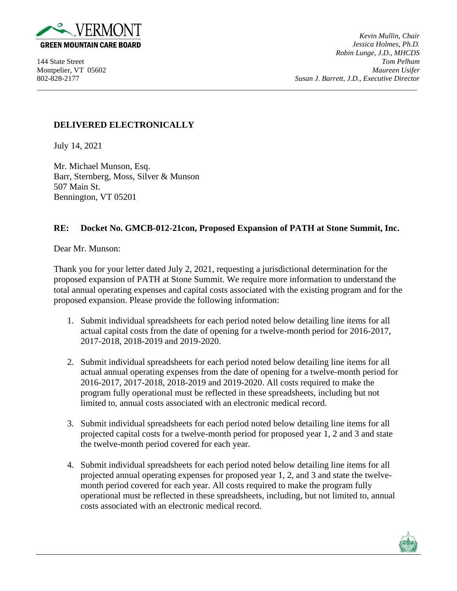

*Kevin Mullin, Chair Jessica Holmes, Ph.D. Robin Lunge, J.D., MHCDS* 144 State Street *Tom Pelham* Montpelier, VT 05602 *Maureen Usifer* 802-828-2177 *Susan J. Barrett, J.D., Executive Director*

## **DELIVERED ELECTRONICALLY**

July 14, 2021

Mr. Michael Munson, Esq. Barr, Sternberg, Moss, Silver & Munson 507 Main St. Bennington, VT 05201

## **RE: Docket No. GMCB-012-21con, Proposed Expansion of PATH at Stone Summit, Inc.**

\_\_\_\_\_\_\_\_\_\_\_\_\_\_\_\_\_\_\_\_\_\_\_\_\_\_\_\_\_\_\_\_\_\_\_\_\_\_\_\_\_\_\_\_\_\_\_\_\_\_\_\_\_\_\_\_\_\_\_\_\_\_\_\_\_\_\_\_\_\_\_\_\_\_\_\_\_\_\_\_\_\_\_\_\_\_\_\_\_\_\_\_\_\_\_\_\_\_\_\_\_\_

Dear Mr. Munson:

Thank you for your letter dated July 2, 2021, requesting a jurisdictional determination for the proposed expansion of PATH at Stone Summit. We require more information to understand the total annual operating expenses and capital costs associated with the existing program and for the proposed expansion. Please provide the following information:

- 1. Submit individual spreadsheets for each period noted below detailing line items for all actual capital costs from the date of opening for a twelve-month period for 2016-2017, 2017-2018, 2018-2019 and 2019-2020.
- 2. Submit individual spreadsheets for each period noted below detailing line items for all actual annual operating expenses from the date of opening for a twelve-month period for 2016-2017, 2017-2018, 2018-2019 and 2019-2020. All costs required to make the program fully operational must be reflected in these spreadsheets, including but not limited to, annual costs associated with an electronic medical record.
- 3. Submit individual spreadsheets for each period noted below detailing line items for all projected capital costs for a twelve-month period for proposed year 1, 2 and 3 and state the twelve-month period covered for each year.
- 4. Submit individual spreadsheets for each period noted below detailing line items for all projected annual operating expenses for proposed year 1, 2, and 3 and state the twelvemonth period covered for each year. All costs required to make the program fully operational must be reflected in these spreadsheets, including, but not limited to, annual costs associated with an electronic medical record.